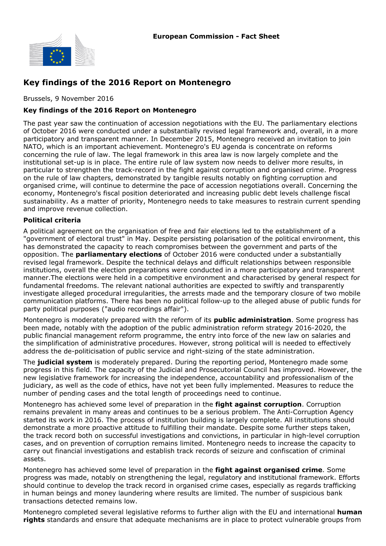

# **Key findings of the 2016 Report on Montenegro**

Brussels, 9 November 2016

### **Key findings of the 2016 Report on Montenegro**

The past year saw the continuation of accession negotiations with the EU. The parliamentary elections of October 2016 were conducted under a substantially revised legal framework and, overall, in a more participatory and transparent manner. In December 2015, Montenegro received an invitation to join NATO, which is an important achievement. Montenegro's EU agenda is concentrate on reforms concerning the rule of law. The legal framework in this area law is now largely complete and the institutional set-up is in place. The entire rule of law system now needs to deliver more results, in particular to strengthen the track-record in the fight against corruption and organised crime. Progress on the rule of law chapters, demonstrated by tangible results notably on fighting corruption and organised crime, will continue to determine the pace of accession negotiations overall. Concerning the economy, Montenegro's fiscal position deteriorated and increasing public debt levels challenge fiscal sustainability. As a matter of priority, Montenegro needs to take measures to restrain current spending and improve revenue collection.

### **Political criteria**

A political agreement on the organisation of free and fair elections led to the establishment of a "government of electoral trust" in May. Despite persisting polarisation of the political environment, this has demonstrated the capacity to reach compromises between the government and parts of the opposition. The **parliamentary elections** of October 2016 were conducted under a substantially revised legal framework. Despite the technical delays and difficult relationships between responsible institutions, overall the election preparations were conducted in a more participatory and transparent manner.The elections were held in a competitive environment and characterised by general respect for fundamental freedoms. The relevant national authorities are expected to swiftly and transparently investigate alleged procedural irregularities, the arrests made and the temporary closure of two mobile communication platforms. There has been no political follow-up to the alleged abuse of public funds for party political purposes ("audio recordings affair").

Montenegro is moderately prepared with the reform of its **public administration**. Some progress has been made, notably with the adoption of the public administration reform strategy 2016-2020, the public financial management reform programme, the entry into force of the new law on salaries and the simplification of administrative procedures. However, strong political will is needed to effectively address the de-politicisation of public service and right-sizing of the state administration.

The **judicial system** is moderately prepared. During the reporting period, Montenegro made some progress in this field. The capacity of the Judicial and Prosecutorial Council has improved. However, the new legislative framework for increasing the independence, accountability and professionalism of the judiciary, as well as the code of ethics, have not yet been fully implemented. Measures to reduce the number of pending cases and the total length of proceedings need to continue.

Montenegro has achieved some level of preparation in the **fight against corruption**. Corruption remains prevalent in many areas and continues to be a serious problem. The Anti-Corruption Agency started its work in 2016. The process of institution building is largely complete. All institutions should demonstrate a more proactive attitude to fulfilling their mandate. Despite some further steps taken, the track record both on successful investigations and convictions, in particular in high-level corruption cases, and on prevention of corruption remains limited. Montenegro needs to increase the capacity to carry out financial investigations and establish track records of seizure and confiscation of criminal assets.

Montenegro has achieved some level of preparation in the **fight against organised crime**. Some progress was made, notably on strengthening the legal, regulatory and institutional framework. Efforts should continue to develop the track record in organised crime cases, especially as regards trafficking in human beings and money laundering where results are limited. The number of suspicious bank transactions detected remains low.

Montenegro completed several legislative reforms to further align with the EU and international **human rights** standards and ensure that adequate mechanisms are in place to protect vulnerable groups from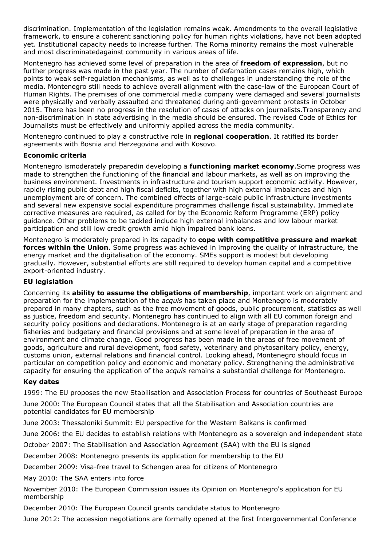discrimination. Implementation of the legislation remains weak. Amendments to the overall legislative framework, to ensure a coherent sanctioning policy for human rights violations, have not been adopted yet. Institutional capacity needs to increase further. The Roma minority remains the most vulnerable and most discriminatedagainst community in various areas of life.

Montenegro has achieved some level of preparation in the area of **freedom of expression**, but no further progress was made in the past year. The number of defamation cases remains high, which points to weak self-regulation mechanisms, as well as to challenges in understanding the role of the media. Montenegro still needs to achieve overall alignment with the case-law of the European Court of Human Rights. The premises of one commercial media company were damaged and several journalists were physically and verbally assaulted and threatened during anti-government protests in October 2015. There has been no progress in the resolution of cases of attacks on journalists.Transparency and non-discrimination in state advertising in the media should be ensured. The revised Code of Ethics for Journalists must be effectively and uniformly applied across the media community.

Montenegro continued to play a constructive role in **regional cooperation**. It ratified its border agreements with Bosnia and Herzegovina and with Kosovo.

### **Economic criteria**

Montenegro ismoderately preparedin developing a **functioning market economy**.Some progress was made to strengthen the functioning of the financial and labour markets, as well as on improving the business environment. Investments in infrastructure and tourism support economic activity. However, rapidly rising public debt and high fiscal deficits, together with high external imbalances and high unemployment are of concern. The combined effects of large-scale public infrastructure investments and several new expensive social expenditure programmes challenge fiscal sustainability. Immediate corrective measures are required, as called for by the Economic Reform Programme (ERP) policy guidance. Other problems to be tackled include high external imbalances and low labour market participation and still low credit growth amid high impaired bank loans.

Montenegro is moderately prepared in its capacity to **cope with competitive pressure and market forces within the Union**. Some progress was achieved in improving the quality of infrastructure, the energy market and the digitalisation of the economy. SMEs support is modest but developing gradually. However, substantial efforts are still required to develop human capital and a competitive export-oriented industry.

## **EU legislation**

Concerning its **ability to assume the obligations of membership**, important work on alignment and preparation for the implementation of the *acquis* has taken place and Montenegro is moderately prepared in many chapters, such as the free movement of goods, public procurement, statistics as well as justice, freedom and security. Montenegro has continued to align with all EU common foreign and security policy positions and declarations. Montenegro is at an early stage of preparation regarding fisheries and budgetary and financial provisions and at some level of preparation in the area of environment and climate change. Good progress has been made in the areas of free movement of goods, agriculture and rural development, food safety, veterinary and phytosanitary policy, energy, customs union, external relations and financial control. Looking ahead, Montenegro should focus in particular on competition policy and economic and monetary policy. Strengthening the administrative capacity for ensuring the application of the *acquis* remains a substantial challenge for Montenegro.

## **Key dates**

1999: The EU proposes the new Stabilisation and Association Process for countries of Southeast Europe

June 2000: The European Council states that all the Stabilisation and Association countries are potential candidates for EU membership

June 2003: Thessaloniki Summit: EU perspective for the Western Balkans is confirmed

June 2006: the EU decides to establish relations with Montenegro as a sovereign and independent state

October 2007: The Stabilisation and Association Agreement (SAA) with the EU is signed

December 2008: Montenegro presents its application for membership to the EU

December 2009: Visa-free travel to Schengen area for citizens of Montenegro

May 2010: The SAA enters into force

November 2010: The European Commission issues its Opinion on Montenegro's application for EU membership

December 2010: The European Council grants candidate status to Montenegro

June 2012: The accession negotiations are formally opened at the first Intergovernmental Conference